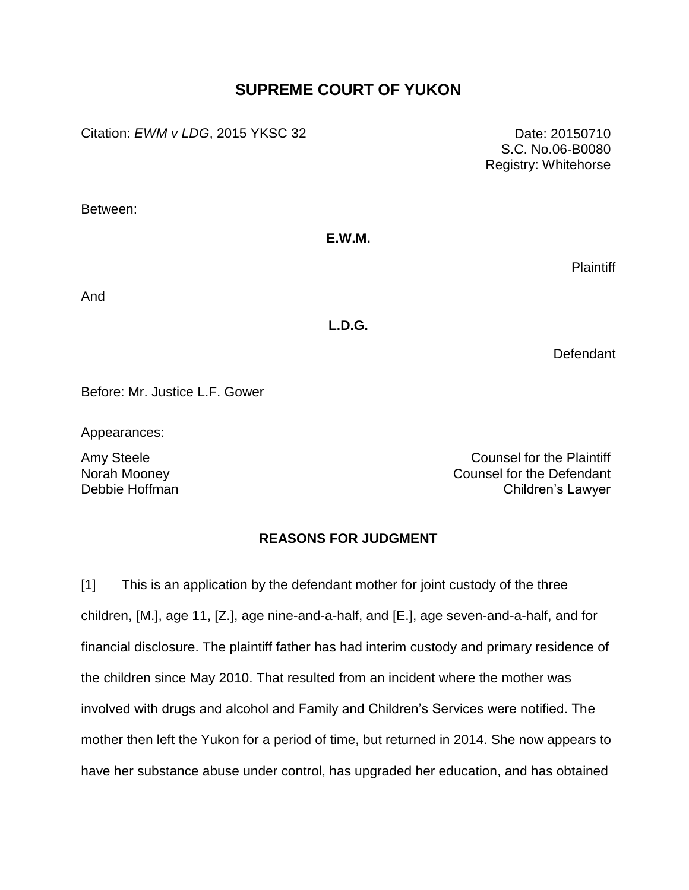# **SUPREME COURT OF YUKON**

Citation: *EWM v LDG*, 2015 YKSC 32 Date: 20150710

S.C. No.06-B0080 Registry: Whitehorse

Between:

# **E.W.M.**

**Plaintiff** 

And

# **L.D.G.**

Defendant

Before: Mr. Justice L.F. Gower

Appearances:

Norah Mooney Debbie Hoffman

Amy Steele **Counsel for the Plaintiff** Counsel for the Defendant Children's Lawyer

# **REASONS FOR JUDGMENT**

[1] This is an application by the defendant mother for joint custody of the three children, [M.], age 11, [Z.], age nine-and-a-half, and [E.], age seven-and-a-half, and for financial disclosure. The plaintiff father has had interim custody and primary residence of the children since May 2010. That resulted from an incident where the mother was involved with drugs and alcohol and Family and Children's Services were notified. The mother then left the Yukon for a period of time, but returned in 2014. She now appears to have her substance abuse under control, has upgraded her education, and has obtained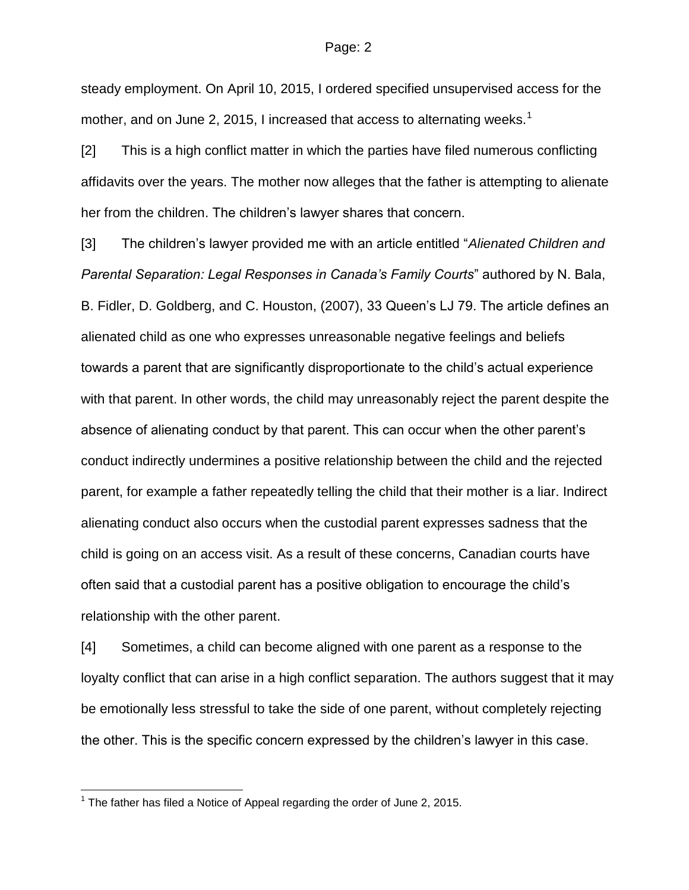steady employment. On April 10, 2015, I ordered specified unsupervised access for the mother, and on June 2, 2015, I increased that access to alternating weeks.<sup>1</sup>

[2] This is a high conflict matter in which the parties have filed numerous conflicting affidavits over the years. The mother now alleges that the father is attempting to alienate her from the children. The children's lawyer shares that concern.

[3] The children's lawyer provided me with an article entitled "*Alienated Children and Parental Separation: Legal Responses in Canada's Family Courts*" authored by N. Bala, B. Fidler, D. Goldberg, and C. Houston, (2007), 33 Queen's LJ 79. The article defines an alienated child as one who expresses unreasonable negative feelings and beliefs towards a parent that are significantly disproportionate to the child's actual experience with that parent. In other words, the child may unreasonably reject the parent despite the absence of alienating conduct by that parent. This can occur when the other parent's conduct indirectly undermines a positive relationship between the child and the rejected parent, for example a father repeatedly telling the child that their mother is a liar. Indirect alienating conduct also occurs when the custodial parent expresses sadness that the child is going on an access visit. As a result of these concerns, Canadian courts have often said that a custodial parent has a positive obligation to encourage the child's relationship with the other parent.

[4] Sometimes, a child can become aligned with one parent as a response to the loyalty conflict that can arise in a high conflict separation. The authors suggest that it may be emotionally less stressful to take the side of one parent, without completely rejecting the other. This is the specific concern expressed by the children's lawyer in this case.

 1 The father has filed a Notice of Appeal regarding the order of June 2, 2015.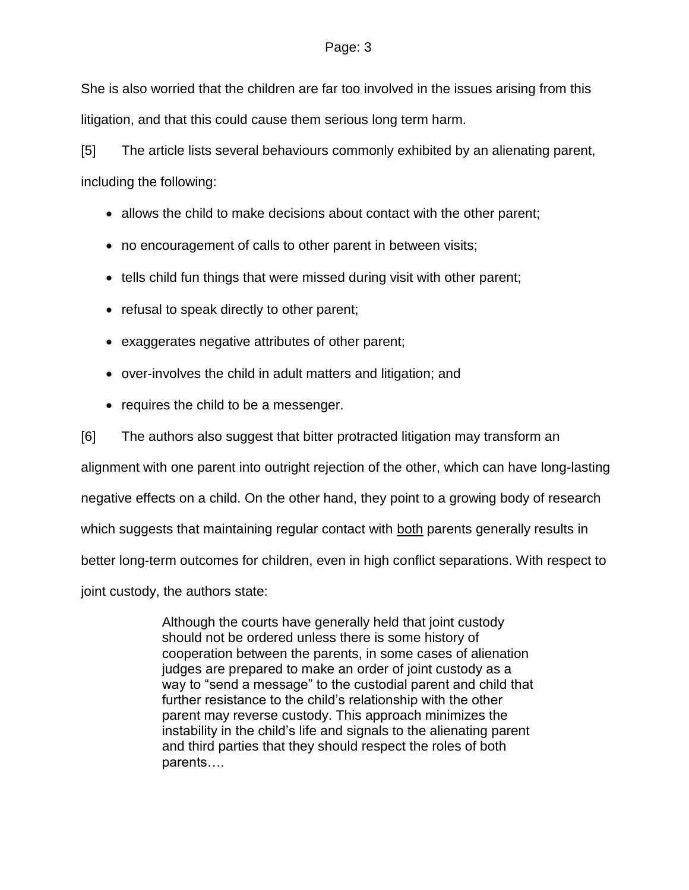She is also worried that the children are far too involved in the issues arising from this litigation, and that this could cause them serious long term harm.

[5] The article lists several behaviours commonly exhibited by an alienating parent, including the following:

- allows the child to make decisions about contact with the other parent;
- no encouragement of calls to other parent in between visits;
- tells child fun things that were missed during visit with other parent;
- refusal to speak directly to other parent;
- exaggerates negative attributes of other parent;
- over-involves the child in adult matters and litigation; and
- requires the child to be a messenger.

[6] The authors also suggest that bitter protracted litigation may transform an

alignment with one parent into outright rejection of the other, which can have long-lasting

negative effects on a child. On the other hand, they point to a growing body of research

which suggests that maintaining regular contact with both parents generally results in

better long-term outcomes for children, even in high conflict separations. With respect to

joint custody, the authors state:

Although the courts have generally held that joint custody should not be ordered unless there is some history of cooperation between the parents, in some cases of alienation judges are prepared to make an order of joint custody as a way to "send a message" to the custodial parent and child that further resistance to the child's relationship with the other parent may reverse custody. This approach minimizes the instability in the child's life and signals to the alienating parent and third parties that they should respect the roles of both parents….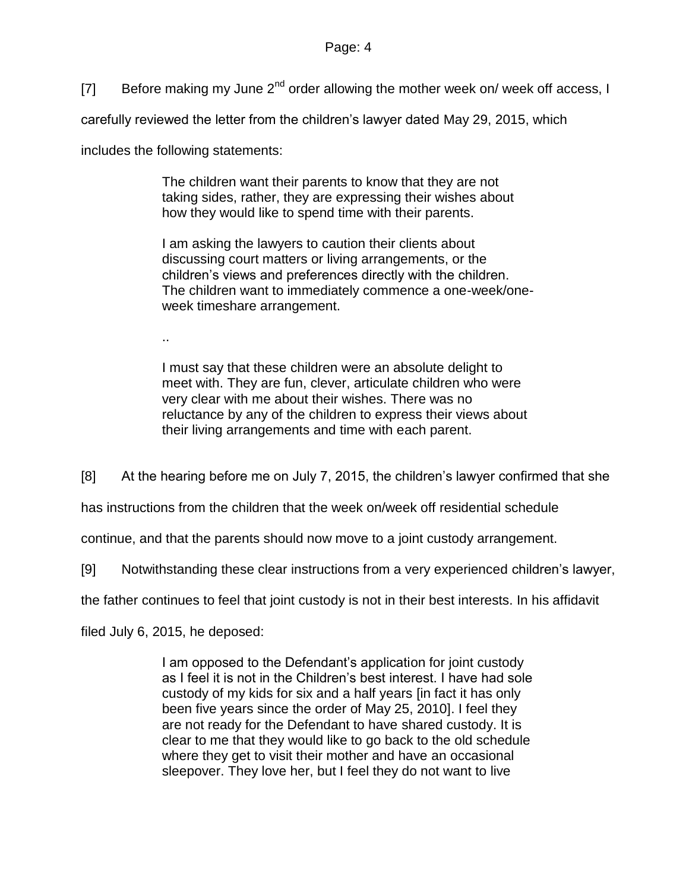[7] Before making my June  $2^{nd}$  order allowing the mother week on/ week off access, I

carefully reviewed the letter from the children's lawyer dated May 29, 2015, which

includes the following statements:

The children want their parents to know that they are not taking sides, rather, they are expressing their wishes about how they would like to spend time with their parents.

I am asking the lawyers to caution their clients about discussing court matters or living arrangements, or the children's views and preferences directly with the children. The children want to immediately commence a one-week/oneweek timeshare arrangement.

..

I must say that these children were an absolute delight to meet with. They are fun, clever, articulate children who were very clear with me about their wishes. There was no reluctance by any of the children to express their views about their living arrangements and time with each parent.

[8] At the hearing before me on July 7, 2015, the children's lawyer confirmed that she

has instructions from the children that the week on/week off residential schedule

continue, and that the parents should now move to a joint custody arrangement.

[9] Notwithstanding these clear instructions from a very experienced children's lawyer,

the father continues to feel that joint custody is not in their best interests. In his affidavit

filed July 6, 2015, he deposed:

I am opposed to the Defendant's application for joint custody as I feel it is not in the Children's best interest. I have had sole custody of my kids for six and a half years [in fact it has only been five years since the order of May 25, 2010]. I feel they are not ready for the Defendant to have shared custody. It is clear to me that they would like to go back to the old schedule where they get to visit their mother and have an occasional sleepover. They love her, but I feel they do not want to live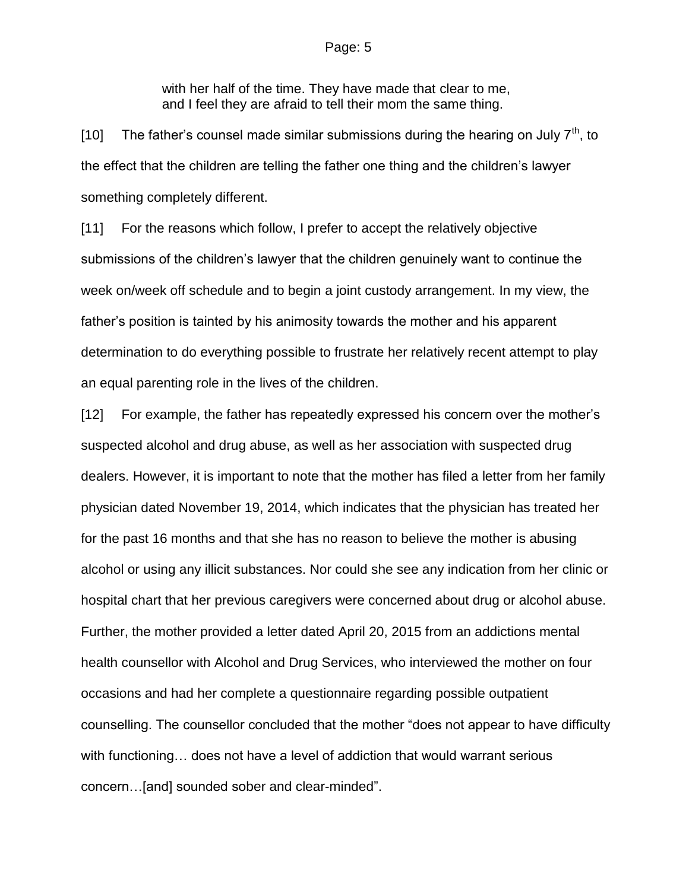with her half of the time. They have made that clear to me, and I feel they are afraid to tell their mom the same thing.

[10] The father's counsel made similar submissions during the hearing on July  $7<sup>th</sup>$ , to the effect that the children are telling the father one thing and the children's lawyer something completely different.

[11] For the reasons which follow, I prefer to accept the relatively objective submissions of the children's lawyer that the children genuinely want to continue the week on/week off schedule and to begin a joint custody arrangement. In my view, the father's position is tainted by his animosity towards the mother and his apparent determination to do everything possible to frustrate her relatively recent attempt to play an equal parenting role in the lives of the children.

[12] For example, the father has repeatedly expressed his concern over the mother's suspected alcohol and drug abuse, as well as her association with suspected drug dealers. However, it is important to note that the mother has filed a letter from her family physician dated November 19, 2014, which indicates that the physician has treated her for the past 16 months and that she has no reason to believe the mother is abusing alcohol or using any illicit substances. Nor could she see any indication from her clinic or hospital chart that her previous caregivers were concerned about drug or alcohol abuse. Further, the mother provided a letter dated April 20, 2015 from an addictions mental health counsellor with Alcohol and Drug Services, who interviewed the mother on four occasions and had her complete a questionnaire regarding possible outpatient counselling. The counsellor concluded that the mother "does not appear to have difficulty with functioning… does not have a level of addiction that would warrant serious concern…[and] sounded sober and clear-minded".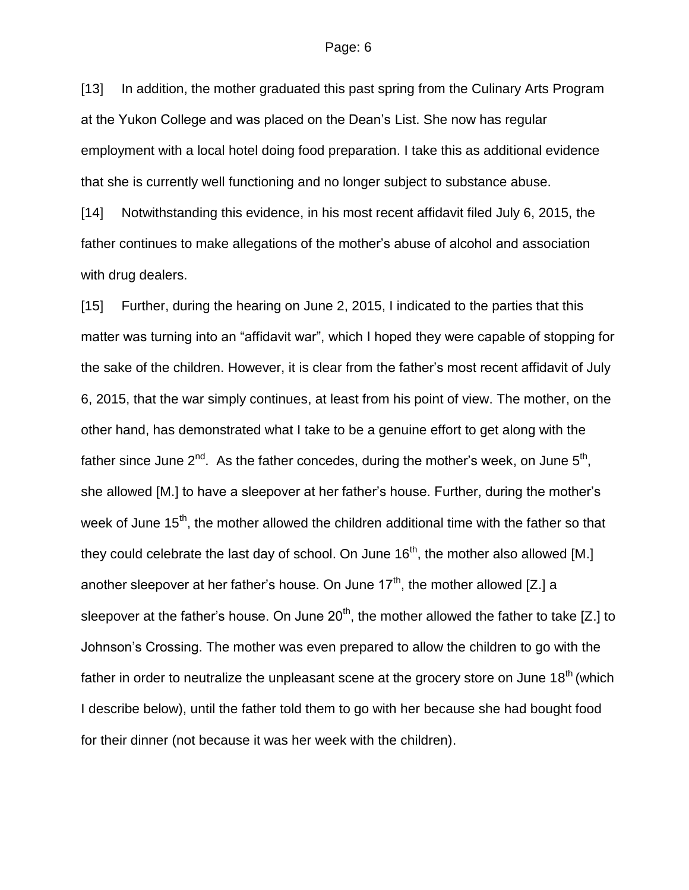[13] In addition, the mother graduated this past spring from the Culinary Arts Program at the Yukon College and was placed on the Dean's List. She now has regular employment with a local hotel doing food preparation. I take this as additional evidence that she is currently well functioning and no longer subject to substance abuse.

[14] Notwithstanding this evidence, in his most recent affidavit filed July 6, 2015, the father continues to make allegations of the mother's abuse of alcohol and association with drug dealers.

[15] Further, during the hearing on June 2, 2015, I indicated to the parties that this matter was turning into an "affidavit war", which I hoped they were capable of stopping for the sake of the children. However, it is clear from the father's most recent affidavit of July 6, 2015, that the war simply continues, at least from his point of view. The mother, on the other hand, has demonstrated what I take to be a genuine effort to get along with the father since June 2<sup>nd</sup>. As the father concedes, during the mother's week, on June 5<sup>th</sup>, she allowed [M.] to have a sleepover at her father's house. Further, during the mother's week of June  $15<sup>th</sup>$ , the mother allowed the children additional time with the father so that they could celebrate the last day of school. On June  $16<sup>th</sup>$ , the mother also allowed [M.] another sleepover at her father's house. On June  $17<sup>th</sup>$ , the mother allowed [Z.] a sleepover at the father's house. On June  $20<sup>th</sup>$ , the mother allowed the father to take [Z.] to Johnson's Crossing. The mother was even prepared to allow the children to go with the father in order to neutralize the unpleasant scene at the grocery store on June 18<sup>th</sup> (which I describe below), until the father told them to go with her because she had bought food for their dinner (not because it was her week with the children).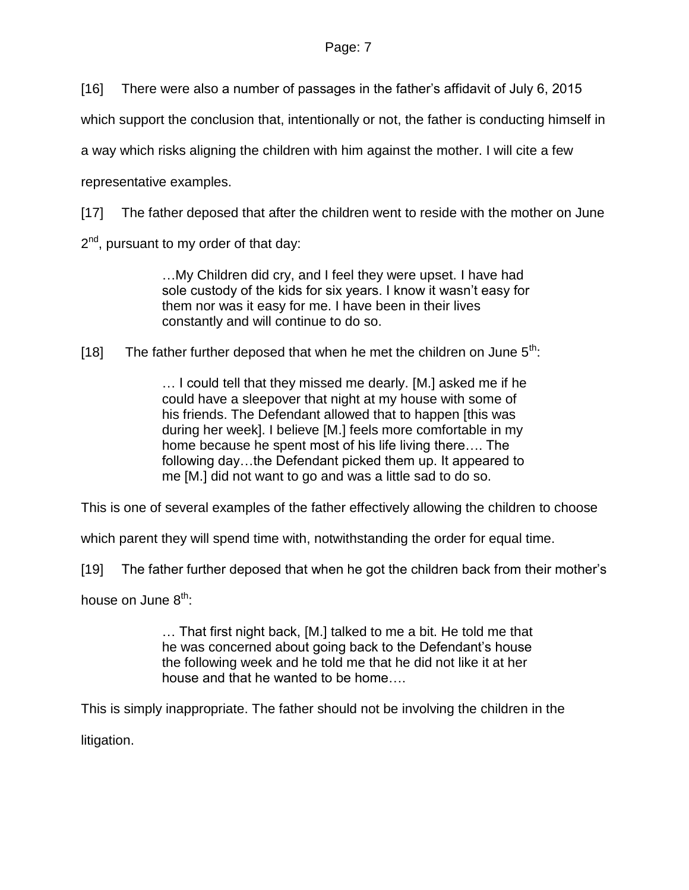[16] There were also a number of passages in the father's affidavit of July 6, 2015

which support the conclusion that, intentionally or not, the father is conducting himself in

a way which risks aligning the children with him against the mother. I will cite a few

representative examples.

[17] The father deposed that after the children went to reside with the mother on June

2<sup>nd</sup>, pursuant to my order of that day:

…My Children did cry, and I feel they were upset. I have had sole custody of the kids for six years. I know it wasn't easy for them nor was it easy for me. I have been in their lives constantly and will continue to do so.

[18] The father further deposed that when he met the children on June  $5<sup>th</sup>$ :

… I could tell that they missed me dearly. [M.] asked me if he could have a sleepover that night at my house with some of his friends. The Defendant allowed that to happen [this was during her week]. I believe [M.] feels more comfortable in my home because he spent most of his life living there…. The following day…the Defendant picked them up. It appeared to me [M.] did not want to go and was a little sad to do so.

This is one of several examples of the father effectively allowing the children to choose

which parent they will spend time with, notwithstanding the order for equal time.

[19] The father further deposed that when he got the children back from their mother's

house on June  $8<sup>th</sup>$ :

… That first night back, [M.] talked to me a bit. He told me that he was concerned about going back to the Defendant's house the following week and he told me that he did not like it at her house and that he wanted to be home….

This is simply inappropriate. The father should not be involving the children in the

litigation.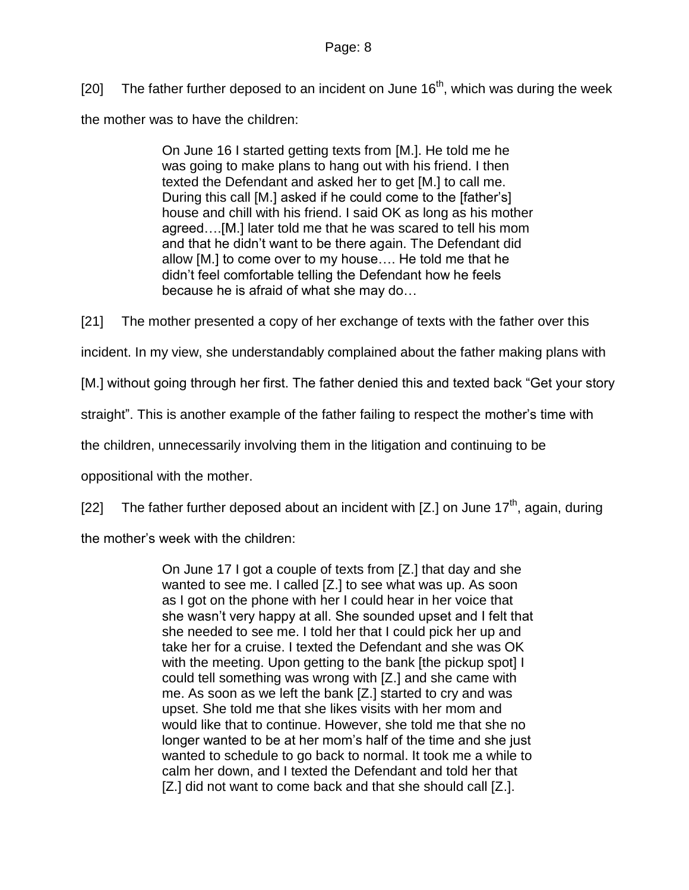[20] The father further deposed to an incident on June  $16<sup>th</sup>$ , which was during the week the mother was to have the children:

> On June 16 I started getting texts from [M.]. He told me he was going to make plans to hang out with his friend. I then texted the Defendant and asked her to get [M.] to call me. During this call [M.] asked if he could come to the [father's] house and chill with his friend. I said OK as long as his mother agreed….[M.] later told me that he was scared to tell his mom and that he didn't want to be there again. The Defendant did allow [M.] to come over to my house…. He told me that he didn't feel comfortable telling the Defendant how he feels because he is afraid of what she may do…

[21] The mother presented a copy of her exchange of texts with the father over this

incident. In my view, she understandably complained about the father making plans with

[M.] without going through her first. The father denied this and texted back "Get your story

straight". This is another example of the father failing to respect the mother's time with

the children, unnecessarily involving them in the litigation and continuing to be

oppositional with the mother.

[22] The father further deposed about an incident with  $[Z.]$  on June 17<sup>th</sup>, again, during

the mother's week with the children:

On June 17 I got a couple of texts from [Z.] that day and she wanted to see me. I called [Z.] to see what was up. As soon as I got on the phone with her I could hear in her voice that she wasn't very happy at all. She sounded upset and I felt that she needed to see me. I told her that I could pick her up and take her for a cruise. I texted the Defendant and she was OK with the meeting. Upon getting to the bank [the pickup spot] I could tell something was wrong with [Z.] and she came with me. As soon as we left the bank [Z.] started to cry and was upset. She told me that she likes visits with her mom and would like that to continue. However, she told me that she no longer wanted to be at her mom's half of the time and she just wanted to schedule to go back to normal. It took me a while to calm her down, and I texted the Defendant and told her that [Z.] did not want to come back and that she should call [Z.].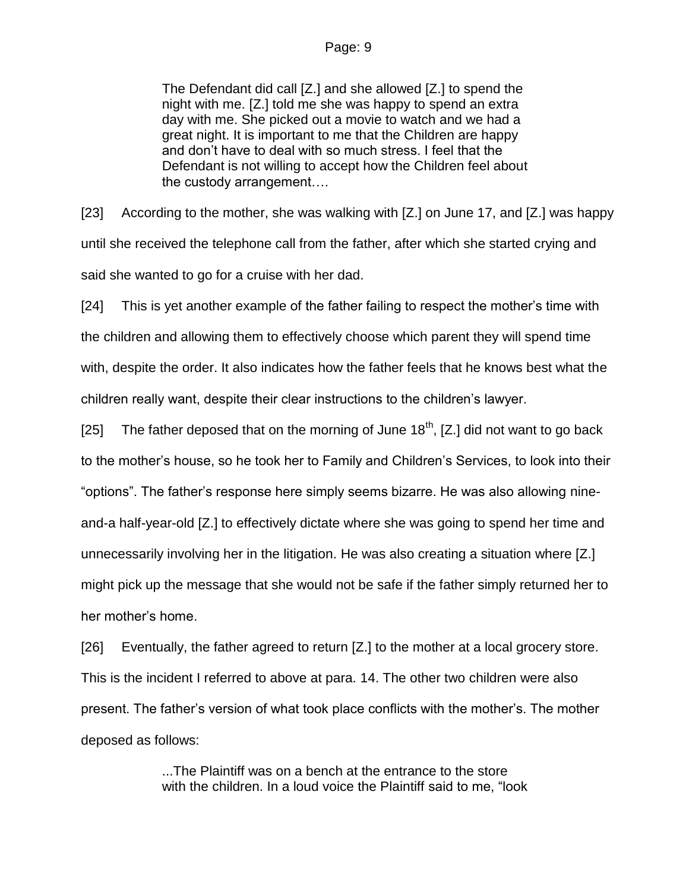The Defendant did call [Z.] and she allowed [Z.] to spend the night with me. [Z.] told me she was happy to spend an extra day with me. She picked out a movie to watch and we had a great night. It is important to me that the Children are happy and don't have to deal with so much stress. I feel that the Defendant is not willing to accept how the Children feel about the custody arrangement….

[23] According to the mother, she was walking with [Z.] on June 17, and [Z.] was happy until she received the telephone call from the father, after which she started crying and said she wanted to go for a cruise with her dad.

[24] This is yet another example of the father failing to respect the mother's time with the children and allowing them to effectively choose which parent they will spend time with, despite the order. It also indicates how the father feels that he knows best what the children really want, despite their clear instructions to the children's lawyer.

[25] The father deposed that on the morning of June  $18<sup>th</sup>$ , [Z.] did not want to go back to the mother's house, so he took her to Family and Children's Services, to look into their "options". The father's response here simply seems bizarre. He was also allowing nineand-a half-year-old [Z.] to effectively dictate where she was going to spend her time and unnecessarily involving her in the litigation. He was also creating a situation where [Z.] might pick up the message that she would not be safe if the father simply returned her to her mother's home.

[26] Eventually, the father agreed to return [Z.] to the mother at a local grocery store. This is the incident I referred to above at para. 14. The other two children were also present. The father's version of what took place conflicts with the mother's. The mother deposed as follows:

> ...The Plaintiff was on a bench at the entrance to the store with the children. In a loud voice the Plaintiff said to me, "look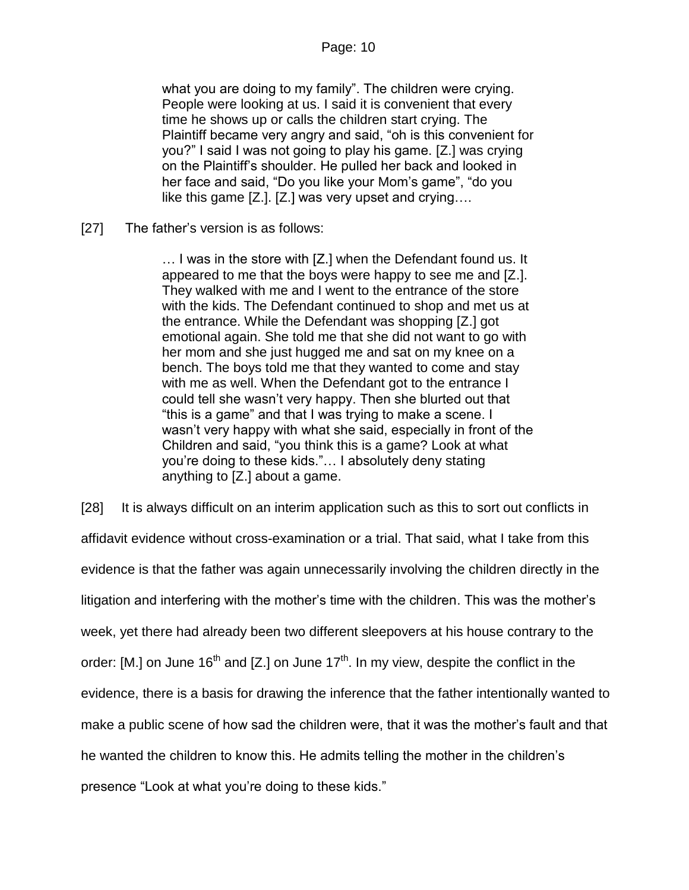what you are doing to my family". The children were crying. People were looking at us. I said it is convenient that every time he shows up or calls the children start crying. The Plaintiff became very angry and said, "oh is this convenient for you?" I said I was not going to play his game. [Z.] was crying on the Plaintiff's shoulder. He pulled her back and looked in her face and said, "Do you like your Mom's game", "do you like this game [Z.]. [Z.] was very upset and crying….

[27] The father's version is as follows:

… I was in the store with [Z.] when the Defendant found us. It appeared to me that the boys were happy to see me and [Z.]. They walked with me and I went to the entrance of the store with the kids. The Defendant continued to shop and met us at the entrance. While the Defendant was shopping [Z.] got emotional again. She told me that she did not want to go with her mom and she just hugged me and sat on my knee on a bench. The boys told me that they wanted to come and stay with me as well. When the Defendant got to the entrance I could tell she wasn't very happy. Then she blurted out that "this is a game" and that I was trying to make a scene. I wasn't very happy with what she said, especially in front of the Children and said, "you think this is a game? Look at what you're doing to these kids."… I absolutely deny stating anything to [Z.] about a game.

[28] It is always difficult on an interim application such as this to sort out conflicts in affidavit evidence without cross-examination or a trial. That said, what I take from this evidence is that the father was again unnecessarily involving the children directly in the litigation and interfering with the mother's time with the children. This was the mother's week, yet there had already been two different sleepovers at his house contrary to the order: [M.] on June 16<sup>th</sup> and [Z.] on June 17<sup>th</sup>. In my view, despite the conflict in the evidence, there is a basis for drawing the inference that the father intentionally wanted to make a public scene of how sad the children were, that it was the mother's fault and that he wanted the children to know this. He admits telling the mother in the children's presence "Look at what you're doing to these kids."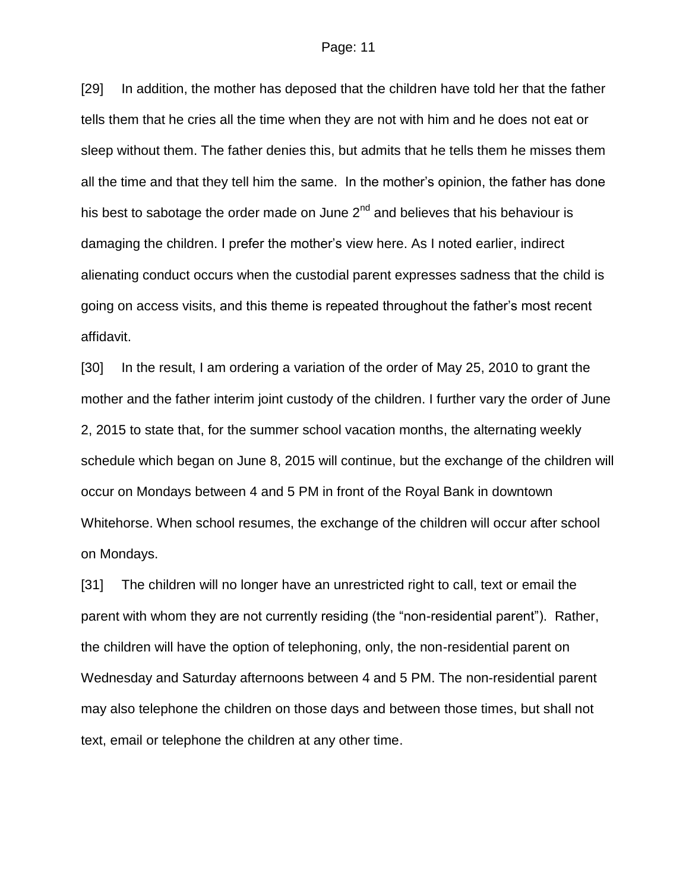[29] In addition, the mother has deposed that the children have told her that the father tells them that he cries all the time when they are not with him and he does not eat or sleep without them. The father denies this, but admits that he tells them he misses them all the time and that they tell him the same. In the mother's opinion, the father has done his best to sabotage the order made on June  $2^{nd}$  and believes that his behaviour is damaging the children. I prefer the mother's view here. As I noted earlier, indirect alienating conduct occurs when the custodial parent expresses sadness that the child is going on access visits, and this theme is repeated throughout the father's most recent affidavit.

[30] In the result, I am ordering a variation of the order of May 25, 2010 to grant the mother and the father interim joint custody of the children. I further vary the order of June 2, 2015 to state that, for the summer school vacation months, the alternating weekly schedule which began on June 8, 2015 will continue, but the exchange of the children will occur on Mondays between 4 and 5 PM in front of the Royal Bank in downtown Whitehorse. When school resumes, the exchange of the children will occur after school on Mondays.

[31] The children will no longer have an unrestricted right to call, text or email the parent with whom they are not currently residing (the "non-residential parent"). Rather, the children will have the option of telephoning, only, the non-residential parent on Wednesday and Saturday afternoons between 4 and 5 PM. The non-residential parent may also telephone the children on those days and between those times, but shall not text, email or telephone the children at any other time.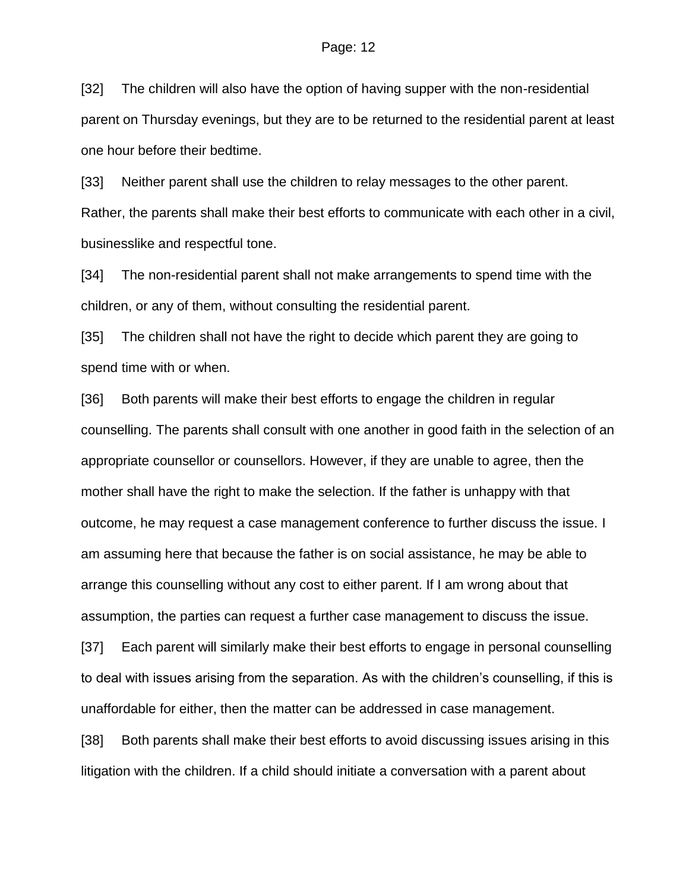[32] The children will also have the option of having supper with the non-residential parent on Thursday evenings, but they are to be returned to the residential parent at least one hour before their bedtime.

[33] Neither parent shall use the children to relay messages to the other parent. Rather, the parents shall make their best efforts to communicate with each other in a civil, businesslike and respectful tone.

[34] The non-residential parent shall not make arrangements to spend time with the children, or any of them, without consulting the residential parent.

[35] The children shall not have the right to decide which parent they are going to spend time with or when.

[36] Both parents will make their best efforts to engage the children in regular counselling. The parents shall consult with one another in good faith in the selection of an appropriate counsellor or counsellors. However, if they are unable to agree, then the mother shall have the right to make the selection. If the father is unhappy with that outcome, he may request a case management conference to further discuss the issue. I am assuming here that because the father is on social assistance, he may be able to arrange this counselling without any cost to either parent. If I am wrong about that assumption, the parties can request a further case management to discuss the issue.

[37] Each parent will similarly make their best efforts to engage in personal counselling to deal with issues arising from the separation. As with the children's counselling, if this is unaffordable for either, then the matter can be addressed in case management.

[38] Both parents shall make their best efforts to avoid discussing issues arising in this litigation with the children. If a child should initiate a conversation with a parent about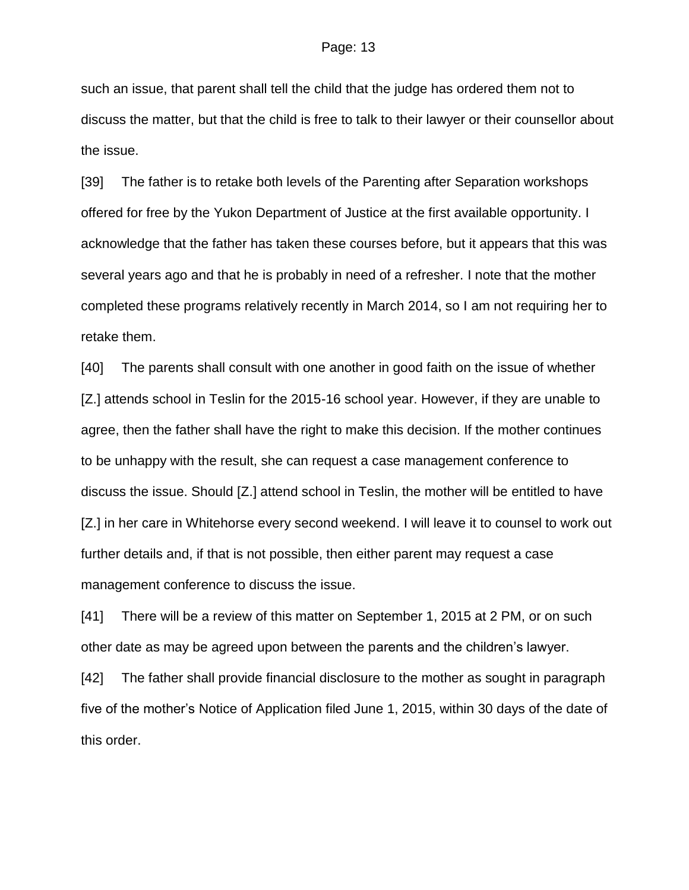such an issue, that parent shall tell the child that the judge has ordered them not to discuss the matter, but that the child is free to talk to their lawyer or their counsellor about the issue.

[39] The father is to retake both levels of the Parenting after Separation workshops offered for free by the Yukon Department of Justice at the first available opportunity. I acknowledge that the father has taken these courses before, but it appears that this was several years ago and that he is probably in need of a refresher. I note that the mother completed these programs relatively recently in March 2014, so I am not requiring her to retake them.

[40] The parents shall consult with one another in good faith on the issue of whether [Z.] attends school in Teslin for the 2015-16 school year. However, if they are unable to agree, then the father shall have the right to make this decision. If the mother continues to be unhappy with the result, she can request a case management conference to discuss the issue. Should [Z.] attend school in Teslin, the mother will be entitled to have [Z.] in her care in Whitehorse every second weekend. I will leave it to counsel to work out further details and, if that is not possible, then either parent may request a case management conference to discuss the issue.

[41] There will be a review of this matter on September 1, 2015 at 2 PM, or on such other date as may be agreed upon between the parents and the children's lawyer.

[42] The father shall provide financial disclosure to the mother as sought in paragraph five of the mother's Notice of Application filed June 1, 2015, within 30 days of the date of this order.